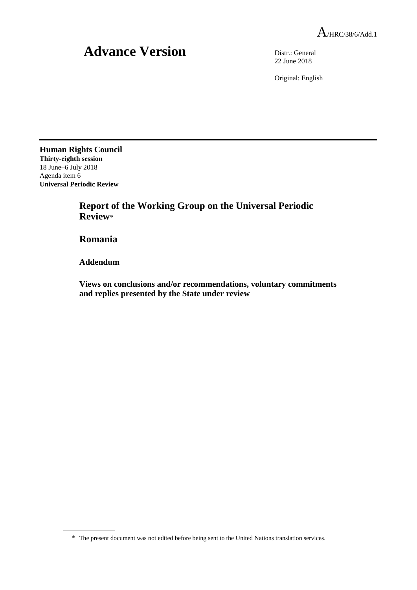## **Advance Version** Distr.: General

22 June 2018

Original: English

**Human Rights Council Thirty-eighth session** 18 June–6 July 2018 Agenda item 6 **Universal Periodic Review**

> **Report of the Working Group on the Universal Periodic Review**\*

**Romania**

**Addendum**

**Views on conclusions and/or recommendations, voluntary commitments and replies presented by the State under review**

<sup>\*</sup> The present document was not edited before being sent to the United Nations translation services.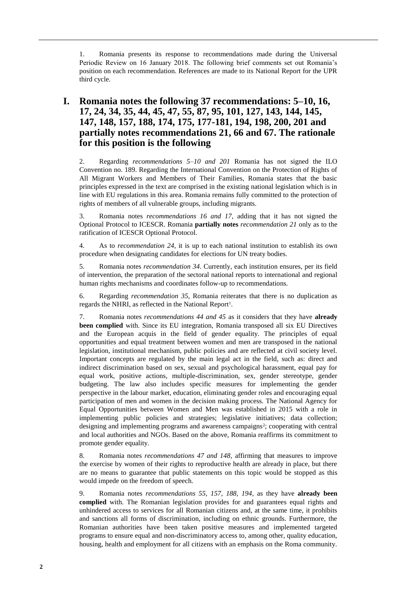1. Romania presents its response to recommendations made during the Universal Periodic Review on 16 January 2018. The following brief comments set out Romania's position on each recommendation. References are made to its National Report for the UPR third cycle.

## **I. Romania notes the following 37 recommendations: 5–10, 16, 17, 24, 34, 35, 44, 45, 47, 55, 87, 95, 101, 127, 143, 144, 145, 147, 148, 157, 188, 174, 175, 177-181, 194, 198, 200, 201 and partially notes recommendations 21, 66 and 67. The rationale for this position is the following**

2. Regarding *recommendations 5–10 and 201* Romania has not signed the ILO Convention no. 189. Regarding the International Convention on the Protection of Rights of All Migrant Workers and Members of Their Families, Romania states that the basic principles expressed in the text are comprised in the existing national legislation which is in line with EU regulations in this area. Romania remains fully committed to the protection of rights of members of all vulnerable groups, including migrants.

3. Romania notes *recommendations 16 and 17*, adding that it has not signed the Optional Protocol to ICESCR. Romania **partially notes** *recommendation 21* only as to the ratification of ICESCR Optional Protocol.

4. As to *recommendation 24*, it is up to each national institution to establish its own procedure when designating candidates for elections for UN treaty bodies.

5. Romania notes *recommendation 34*. Currently, each institution ensures, per its field of intervention, the preparation of the sectoral national reports to international and regional human rights mechanisms and coordinates follow-up to recommendations.

6. Regarding *recommendation 35*, Romania reiterates that there is no duplication as regards the NHRI, as reflected in the National Report<sup>1</sup>.

7. Romania notes *recommendations 44 and 45* as it considers that they have **already been complied** with. Since its EU integration, Romania transposed all six EU Directives and the European acquis in the field of gender equality. The principles of equal opportunities and equal treatment between women and men are transposed in the national legislation, institutional mechanism, public policies and are reflected at civil society level. Important concepts are regulated by the main legal act in the field, such as: direct and indirect discrimination based on sex, sexual and psychological harassment, equal pay for equal work, positive actions, multiple-discrimination, sex, gender stereotype, gender budgeting. The law also includes specific measures for implementing the gender perspective in the labour market, education, eliminating gender roles and encouraging equal participation of men and women in the decision making process. The National Agency for Equal Opportunities between Women and Men was established in 2015 with a role in implementing public policies and strategies; legislative initiatives; data collection; designing and implementing programs and awareness campaigns<sup>2</sup>; cooperating with central and local authorities and NGOs. Based on the above, Romania reaffirms its commitment to promote gender equality.

8. Romania notes *recommendations 47 and 148*, affirming that measures to improve the exercise by women of their rights to reproductive health are already in place, but there are no means to guarantee that public statements on this topic would be stopped as this would impede on the freedom of speech.

9. Romania notes *recommendations 55, 157, 188, 194*, as they have **already been complied** with. The Romanian legislation provides for and guarantees equal rights and unhindered access to services for all Romanian citizens and, at the same time, it prohibits and sanctions all forms of discrimination, including on ethnic grounds. Furthermore, the Romanian authorities have been taken positive measures and implemented targeted programs to ensure equal and non-discriminatory access to, among other, quality education, housing, health and employment for all citizens with an emphasis on the Roma community.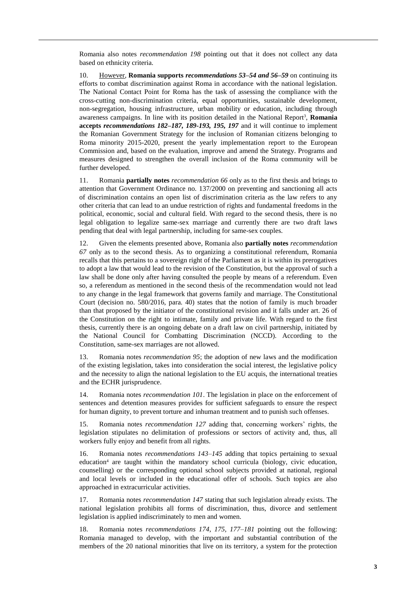Romania also notes *recommendation 198* pointing out that it does not collect any data based on ethnicity criteria.

10. However, **Romania supports** *recommendations 53–54 and 56–59* on continuing its efforts to combat discrimination against Roma in accordance with the national legislation. The National Contact Point for Roma has the task of assessing the compliance with the cross-cutting non-discrimination criteria, equal opportunities, sustainable development, non-segregation, housing infrastructure, urban mobility or education, including through awareness campaigns. In line with its position detailed in the National Report<sup>3</sup>, **Romania accepts** *recommendations 182–187, 189-193, 195, 197* and it will continue to implement the Romanian Government Strategy for the inclusion of Romanian citizens belonging to Roma minority 2015-2020, present the yearly implementation report to the European Commission and, based on the evaluation, improve and amend the Strategy. Programs and measures designed to strengthen the overall inclusion of the Roma community will be further developed.

11. Romania **partially notes** *recommendation 66* only as to the first thesis and brings to attention that Government Ordinance no. 137/2000 on preventing and sanctioning all acts of discrimination contains an open list of discrimination criteria as the law refers to any other criteria that can lead to an undue restriction of rights and fundamental freedoms in the political, economic, social and cultural field. With regard to the second thesis, there is no legal obligation to legalize same-sex marriage and currently there are two draft laws pending that deal with legal partnership, including for same-sex couples.

12. Given the elements presented above, Romania also **partially notes** *recommendation 67* only as to the second thesis. As to organizing a constitutional referendum, Romania recalls that this pertains to a sovereign right of the Parliament as it is within its prerogatives to adopt a law that would lead to the revision of the Constitution, but the approval of such a law shall be done only after having consulted the people by means of a referendum. Even so, a referendum as mentioned in the second thesis of the recommendation would not lead to any change in the legal framework that governs family and marriage. The Constitutional Court (decision no. 580/2016, para. 40) states that the notion of family is much broader than that proposed by the initiator of the constitutional revision and it falls under art. 26 of the Constitution on the right to intimate, family and private life. With regard to the first thesis, currently there is an ongoing debate on a draft law on civil partnership, initiated by the National Council for Combatting Discrimination (NCCD). According to the Constitution, same-sex marriages are not allowed.

13. Romania notes *recommendation 95*; the adoption of new laws and the modification of the existing legislation, takes into consideration the social interest, the legislative policy and the necessity to align the national legislation to the EU acquis, the international treaties and the ECHR jurisprudence.

14. Romania notes *recommendation 101*. The legislation in place on the enforcement of sentences and detention measures provides for sufficient safeguards to ensure the respect for human dignity, to prevent torture and inhuman treatment and to punish such offenses.

Romania notes *recommendation 127* adding that, concerning workers' rights, the legislation stipulates no delimitation of professions or sectors of activity and, thus, all workers fully enjoy and benefit from all rights.

16. Romania notes *recommendations 143–145* adding that topics pertaining to sexual education<sup>4</sup> are taught within the mandatory school curricula (biology, civic education, counselling) or the corresponding optional school subjects provided at national, regional and local levels or included in the educational offer of schools. Such topics are also approached in extracurricular activities.

17. Romania notes *recommendation 147* stating that such legislation already exists. The national legislation prohibits all forms of discrimination, thus, divorce and settlement legislation is applied indiscriminately to men and women.

18. Romania notes *recommendations 174, 175, 177–181* pointing out the following: Romania managed to develop, with the important and substantial contribution of the members of the 20 national minorities that live on its territory, a system for the protection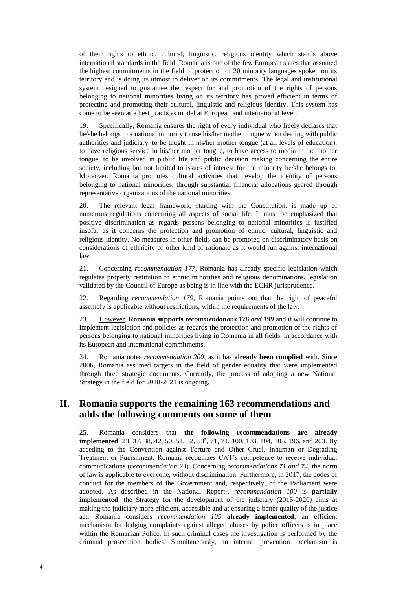of their rights to ethnic, cultural, linguistic, religious identity which stands above international standards in the field. Romania is one of the few European states that assumed the highest commitments in the field of protection of 20 minority languages spoken on its territory and is doing its utmost to deliver on its commitments. The legal and institutional system designed to guarantee the respect for and promotion of the rights of persons belonging to national minorities living on its territory has proved efficient in terms of protecting and promoting their cultural, linguistic and religious identity. This system has come to be seen as a best practices model at European and international level.

19. Specifically, Romania ensures the right of every individual who freely declares that he/she belongs to a national minority to use his/her mother tongue when dealing with public authorities and judiciary, to be taught in his/her mother tongue (at all levels of education), to have religious service in his/her mother tongue, to have access to media in the mother tongue, to be involved in public life and public decision making concerning the entire society, including but not limited to issues of interest for the minority he/she belongs to. Moreover, Romania promotes cultural activities that develop the identity of persons belonging to national minorities, through substantial financial allocations geared through representative organizations of the national minorities.

20. The relevant legal framework, starting with the Constitution, is made up of numerous regulations concerning all aspects of social life. It must be emphasized that positive discrimination as regards persons belonging to national minorities is justified insofar as it concerns the protection and promotion of ethnic, cultural, linguistic and religious identity. No measures in other fields can be promoted on discriminatory basis on considerations of ethnicity or other kind of rationale as it would run against international law.

21. Concerning *recommendation 177*, Romania has already specific legislation which regulates property restitution to ethnic minorities and religious denominations, legislation validated by the Council of Europe as being is in line with the ECHR jurisprudence.

22. Regarding *recommendation 179,* Romania points out that the right of peaceful assembly is applicable without restrictions, within the requirements of the law.

23. However, **Romania supports** *recommendations 176 and 199* and it will continue to implement legislation and policies as regards the protection and promotion of the rights of persons belonging to national minorities living in Romania in all fields, in accordance with its European and international commitments.

24. Romania notes *recommendation 200*, as it has **already been complied** with. Since 2006, Romania assumed targets in the field of gender equality that were implemented through three strategic documents. Currently, the process of adopting a new National Strategy in the field for 2018-2021 is ongoing.

## **II. Romania supports the remaining 163 recommendations and adds the following comments on some of them**

25. Romania considers that **the following recommendations are already implemented**: 23, 37, 38, 42, 50, 51, 52, 53<sup>5</sup>, 71, 74, 100, 103, 104, 105, 196, and 203. By acceding to the Convention against Torture and Other Cruel, Inhuman or Degrading Treatment or Punishment, Romania recognizes CAT's competence to receive individual communications (*recommendation 23*). Concerning r*ecommendations 71 and 74*, the norm of law is applicable to everyone, without discrimination. Furthermore, in 2017, the codes of conduct for the members of the Government and, respectively, of the Parliament were adopted. As described in the National Report<sup>6</sup>, *recommendation 100* is **partially implemented**; the Strategy for the development of the judiciary (2015-2020) aims at making the judiciary more efficient, accessible and at ensuring a better quality of the justice act. Romania considers *recommendation 105* **already implemented**; an efficient mechanism for lodging complaints against alleged abuses by police officers is in place within the Romanian Police. In such criminal cases the investigation is performed by the criminal prosecution bodies. Simultaneously, an internal prevention mechanism is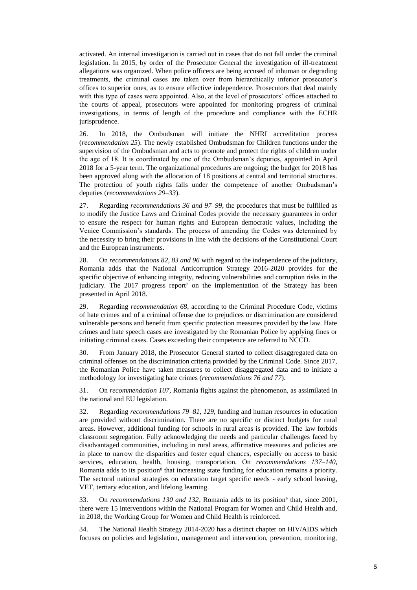activated. An internal investigation is carried out in cases that do not fall under the criminal legislation. In 2015, by order of the Prosecutor General the investigation of ill-treatment allegations was organized. When police officers are being accused of inhuman or degrading treatments, the criminal cases are taken over from hierarchically inferior prosecutor's offices to superior ones, as to ensure effective independence. Prosecutors that deal mainly with this type of cases were appointed. Also, at the level of prosecutors' offices attached to the courts of appeal, prosecutors were appointed for monitoring progress of criminal investigations, in terms of length of the procedure and compliance with the ECHR jurisprudence.

26. In 2018, the Ombudsman will initiate the NHRI accreditation process (*recommendation 25*). The newly established Ombudsman for Children functions under the supervision of the Ombudsman and acts to promote and protect the rights of children under the age of 18. It is coordinated by one of the Ombudsman's deputies, appointed in April 2018 for a 5-year term. The organizational procedures are ongoing; the budget for 2018 has been approved along with the allocation of 18 positions at central and territorial structures. The protection of youth rights falls under the competence of another Ombudsman's deputies (*recommendations 29–33*).

27. Regarding *recommendations 36 and 97–99*, the procedures that must be fulfilled as to modify the Justice Laws and Criminal Codes provide the necessary guarantees in order to ensure the respect for human rights and European democratic values, including the Venice Commission's standards. The process of amending the Codes was determined by the necessity to bring their provisions in line with the decisions of the Constitutional Court and the European instruments.

28. On *recommendations 82, 83 and 96* with regard to the independence of the judiciary, Romania adds that the National Anticorruption Strategy 2016-2020 provides for the specific objective of enhancing integrity, reducing vulnerabilities and corruption risks in the judiciary. The  $2017$  progress report<sup>7</sup> on the implementation of the Strategy has been presented in April 2018.

29. Regarding *recommendation 68*, according to the Criminal Procedure Code, victims of hate crimes and of a criminal offense due to prejudices or discrimination are considered vulnerable persons and benefit from specific protection measures provided by the law. Hate crimes and hate speech cases are investigated by the Romanian Police by applying fines or initiating criminal cases. Cases exceeding their competence are referred to NCCD.

30. From January 2018, the Prosecutor General started to collect disaggregated data on criminal offenses on the discrimination criteria provided by the Criminal Code. Since 2017, the Romanian Police have taken measures to collect disaggregated data and to initiate a methodology for investigating hate crimes (*recommendations 76 and 77*).

31. On *recommendation 107*, Romania fights against the phenomenon, as assimilated in the national and EU legislation.

32. Regarding *recommendations 79–81, 129*, funding and human resources in education are provided without discrimination. There are no specific or distinct budgets for rural areas. However, additional funding for schools in rural areas is provided. The law forbids classroom segregation. Fully acknowledging the needs and particular challenges faced by disadvantaged communities, including in rural areas, affirmative measures and policies are in place to narrow the disparities and foster equal chances, especially on access to basic services, education, health, housing, transportation. On *recommendations 137–140*, Romania adds to its position<sup>8</sup> that increasing state funding for education remains a priority. The sectoral national strategies on education target specific needs - early school leaving, VET, tertiary education, and lifelong learning.

33. On *recommendations 130 and 132*, Romania adds to its position<sup>9</sup> that, since 2001, there were 15 interventions within the National Program for Women and Child Health and, in 2018, the Working Group for Women and Child Health is reinforced.

34. The National Health Strategy 2014-2020 has a distinct chapter on HIV/AIDS which focuses on policies and legislation, management and intervention, prevention, monitoring,